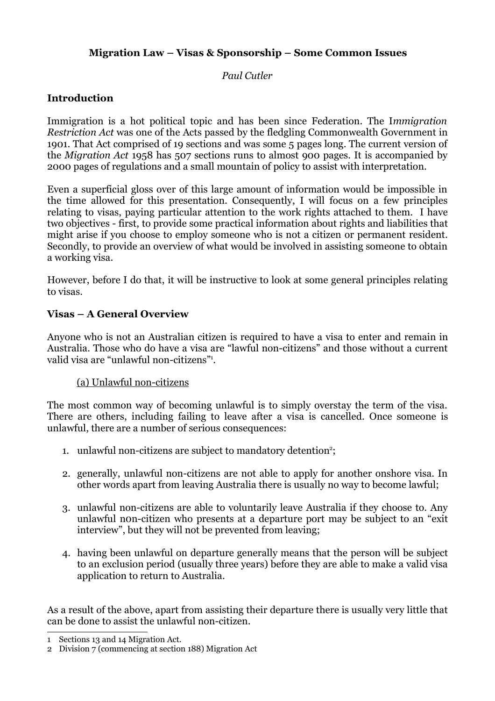# **Migration Law – Visas & Sponsorship – Some Common Issues**

## *Paul Cutler*

# **Introduction**

Immigration is a hot political topic and has been since Federation. The I*mmigration Restriction Act* was one of the Acts passed by the fledgling Commonwealth Government in 1901. That Act comprised of 19 sections and was some 5 pages long. The current version of the *Migration Act* 1958 has 507 sections runs to almost 900 pages. It is accompanied by 2000 pages of regulations and a small mountain of policy to assist with interpretation.

Even a superficial gloss over of this large amount of information would be impossible in the time allowed for this presentation. Consequently, I will focus on a few principles relating to visas, paying particular attention to the work rights attached to them. I have two objectives - first, to provide some practical information about rights and liabilities that might arise if you choose to employ someone who is not a citizen or permanent resident. Secondly, to provide an overview of what would be involved in assisting someone to obtain a working visa.

However, before I do that, it will be instructive to look at some general principles relating to visas.

## **Visas – A General Overview**

Anyone who is not an Australian citizen is required to have a visa to enter and remain in Australia. Those who do have a visa are "lawful non-citizens" and those without a current valid visa are "unlawful non-citizens"[1](#page-0-0) .

## (a) Unlawful non-citizens

The most common way of becoming unlawful is to simply overstay the term of the visa. There are others, including failing to leave after a visa is cancelled. Once someone is unlawful, there are a number of serious consequences:

- 1. unlawful non-citizens are subject to mandatory detention<sup>[2](#page-0-1)</sup>;
- 2. generally, unlawful non-citizens are not able to apply for another onshore visa. In other words apart from leaving Australia there is usually no way to become lawful;
- 3. unlawful non-citizens are able to voluntarily leave Australia if they choose to. Any unlawful n0n-citizen who presents at a departure port may be subject to an "exit interview", but they will not be prevented from leaving;
- 4. having been unlawful on departure generally means that the person will be subject to an exclusion period (usually three years) before they are able to make a valid visa application to return to Australia.

As a result of the above, apart from assisting their departure there is usually very little that can be done to assist the unlawful non-citizen.

<span id="page-0-0"></span><sup>1</sup> Sections 13 and 14 Migration Act.

<span id="page-0-1"></span><sup>2</sup> Division 7 (commencing at section 188) Migration Act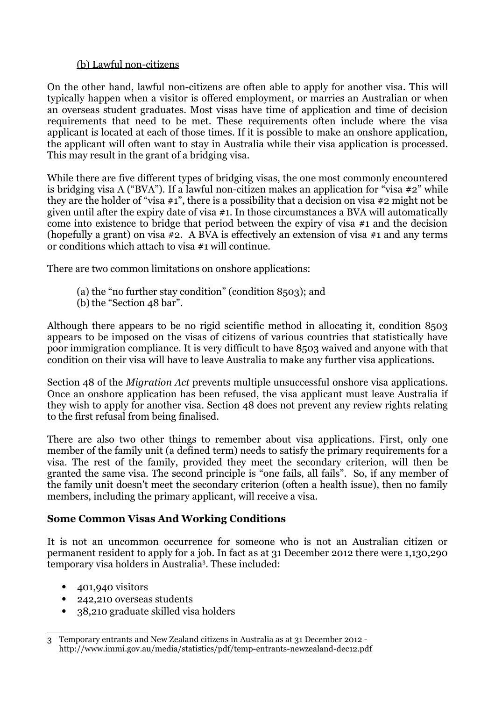## (b) Lawful non-citizens

On the other hand, lawful non-citizens are often able to apply for another visa. This will typically happen when a visitor is offered employment, or marries an Australian or when an overseas student graduates. Most visas have time of application and time of decision requirements that need to be met. These requirements often include where the visa applicant is located at each of those times. If it is possible to make an onshore application, the applicant will often want to stay in Australia while their visa application is processed. This may result in the grant of a bridging visa.

While there are five different types of bridging visas, the one most commonly encountered is bridging visa A ("BVA"). If a lawful non-citizen makes an application for "visa #2" while they are the holder of "visa #1", there is a possibility that a decision on visa #2 might not be given until after the expiry date of visa #1. In those circumstances a BVA will automatically come into existence to bridge that period between the expiry of visa #1 and the decision (hopefully a grant) on visa #2. A BVA is effectively an extension of visa #1 and any terms or conditions which attach to visa #1 will continue.

There are two common limitations on onshore applications:

- (a) the "no further stay condition" (condition 8503); and
- (b) the "Section 48 bar".

Although there appears to be no rigid scientific method in allocating it, condition 8503 appears to be imposed on the visas of citizens of various countries that statistically have poor immigration compliance. It is very difficult to have 8503 waived and anyone with that condition on their visa will have to leave Australia to make any further visa applications.

Section 48 of the *Migration Act* prevents multiple unsuccessful onshore visa applications. Once an onshore application has been refused, the visa applicant must leave Australia if they wish to apply for another visa. Section 48 does not prevent any review rights relating to the first refusal from being finalised.

There are also two other things to remember about visa applications. First, only one member of the family unit (a defined term) needs to satisfy the primary requirements for a visa. The rest of the family, provided they meet the secondary criterion, will then be granted the same visa. The second principle is "one fails, all fails". So, if any member of the family unit doesn't meet the secondary criterion (often a health issue), then no family members, including the primary applicant, will receive a visa.

# **Some Common Visas And Working Conditions**

It is not an uncommon occurrence for someone who is not an Australian citizen or permanent resident to apply for a job. In fact as at 31 December 2012 there were 1,130,290 temporary visa holders in Australia<sup>[3](#page-1-0)</sup>. These included:

- $\bullet$  401,940 visitors
- 242,210 overseas students
- 38,210 graduate skilled visa holders

<span id="page-1-0"></span><sup>3</sup> Temporary entrants and New Zealand citizens in Australia as at 31 December 2012 http://www.immi.gov.au/media/statistics/pdf/temp-entrants-newzealand-dec12.pdf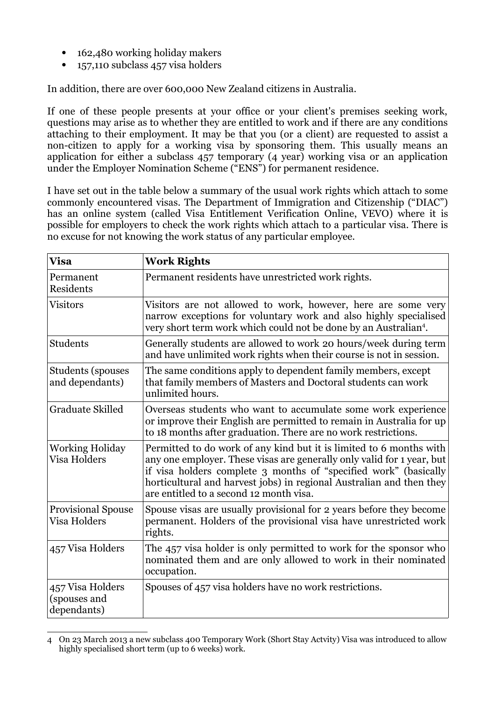- 162,480 working holiday makers
- 157,110 subclass 457 visa holders

In addition, there are over 600,000 New Zealand citizens in Australia.

If one of these people presents at your office or your client's premises seeking work, questions may arise as to whether they are entitled to work and if there are any conditions attaching to their employment. It may be that you (or a client) are requested to assist a non-citizen to apply for a working visa by sponsoring them. This usually means an application for either a subclass 457 temporary (4 year) working visa or an application under the Employer Nomination Scheme ("ENS") for permanent residence.

I have set out in the table below a summary of the usual work rights which attach to some commonly encountered visas. The Department of Immigration and Citizenship ("DIAC") has an online system (called Visa Entitlement Verification Online, VEVO) where it is possible for employers to check the work rights which attach to a particular visa. There is no excuse for not knowing the work status of any particular employee.

| <b>Visa</b>                                     | <b>Work Rights</b>                                                                                                                                                                                                                                                                                                                   |
|-------------------------------------------------|--------------------------------------------------------------------------------------------------------------------------------------------------------------------------------------------------------------------------------------------------------------------------------------------------------------------------------------|
| Permanent<br>Residents                          | Permanent residents have unrestricted work rights.                                                                                                                                                                                                                                                                                   |
| <b>Visitors</b>                                 | Visitors are not allowed to work, however, here are some very<br>narrow exceptions for voluntary work and also highly specialised<br>very short term work which could not be done by an Australian <sup>4</sup> .                                                                                                                    |
| Students                                        | Generally students are allowed to work 20 hours/week during term<br>and have unlimited work rights when their course is not in session.                                                                                                                                                                                              |
| <b>Students (spouses)</b><br>and dependants)    | The same conditions apply to dependent family members, except<br>that family members of Masters and Doctoral students can work<br>unlimited hours.                                                                                                                                                                                   |
| <b>Graduate Skilled</b>                         | Overseas students who want to accumulate some work experience<br>or improve their English are permitted to remain in Australia for up<br>to 18 months after graduation. There are no work restrictions.                                                                                                                              |
| <b>Working Holiday</b><br><b>Visa Holders</b>   | Permitted to do work of any kind but it is limited to 6 months with<br>any one employer. These visas are generally only valid for 1 year, but<br>if visa holders complete 3 months of "specified work" (basically<br>horticultural and harvest jobs) in regional Australian and then they<br>are entitled to a second 12 month visa. |
| <b>Provisional Spouse</b><br>Visa Holders       | Spouse visas are usually provisional for 2 years before they become<br>permanent. Holders of the provisional visa have unrestricted work<br>rights.                                                                                                                                                                                  |
| 457 Visa Holders                                | The 457 visa holder is only permitted to work for the sponsor who<br>nominated them and are only allowed to work in their nominated<br>occupation.                                                                                                                                                                                   |
| 457 Visa Holders<br>(spouses and<br>dependants) | Spouses of 457 visa holders have no work restrictions.                                                                                                                                                                                                                                                                               |

<span id="page-2-0"></span><sup>4</sup> On 23 March 2013 a new subclass 400 Temporary Work (Short Stay Actvity) Visa was introduced to allow highly specialised short term (up to 6 weeks) work.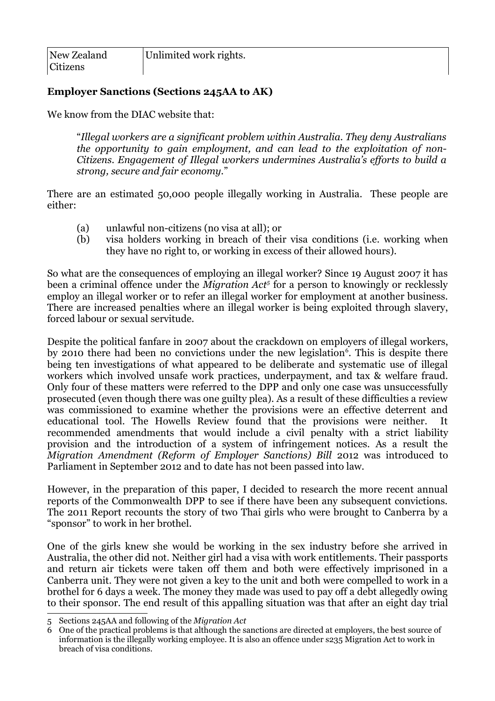## **Employer Sanctions (Sections 245AA to AK)**

We know from the DIAC website that:

"*Illegal workers are a significant problem within Australia. They deny Australians the opportunity to gain employment, and can lead to the exploitation of non-Citizens. Engagement of Illegal workers undermines Australia's efforts to build a strong, secure and fair economy.*"

There are an estimated 50,000 people illegally working in Australia. These people are either:

- (a) unlawful non-citizens (no visa at all); or
- (b) visa holders working in breach of their visa conditions (i.e. working when they have no right to, or working in excess of their allowed hours).

So what are the consequences of employing an illegal worker? Since 19 August 2007 it has been a criminal offence under the *Migration Act[5](#page-3-0)* for a person to knowingly or recklessly employ an illegal worker or to refer an illegal worker for employment at another business. There are increased penalties where an illegal worker is being exploited through slavery, forced labour or sexual servitude.

Despite the political fanfare in 2007 about the crackdown on employers of illegal workers, by 2010 there had been no convictions under the new legislation<sup>[6](#page-3-1)</sup>. This is despite there being ten investigations of what appeared to be deliberate and systematic use of illegal workers which involved unsafe work practices, underpayment, and tax & welfare fraud. Only four of these matters were referred to the DPP and only one case was unsuccessfully prosecuted (even though there was one guilty plea). As a result of these difficulties a review was commissioned to examine whether the provisions were an effective deterrent and educational tool. The Howells Review found that the provisions were neither. It recommended amendments that would include a civil penalty with a strict liability provision and the introduction of a system of infringement notices. As a result the *Migration Amendment (Reform of Employer Sanctions) Bill* 2012 was introduced to Parliament in September 2012 and to date has not been passed into law.

However, in the preparation of this paper, I decided to research the more recent annual reports of the Commonwealth DPP to see if there have been any subsequent convictions. The 2011 Report recounts the story of two Thai girls who were brought to Canberra by a "sponsor" to work in her brothel.

One of the girls knew she would be working in the sex industry before she arrived in Australia, the other did not. Neither girl had a visa with work entitlements. Their passports and return air tickets were taken off them and both were effectively imprisoned in a Canberra unit. They were not given a key to the unit and both were compelled to work in a brothel for 6 days a week. The money they made was used to pay off a debt allegedly owing to their sponsor. The end result of this appalling situation was that after an eight day trial

<span id="page-3-0"></span><sup>5</sup> Sections 245AA and following of the *Migration Act* 

<span id="page-3-1"></span><sup>6</sup> One of the practical problems is that although the sanctions are directed at employers, the best source of information is the illegally working employee. It is also an offence under s235 Migration Act to work in breach of visa conditions.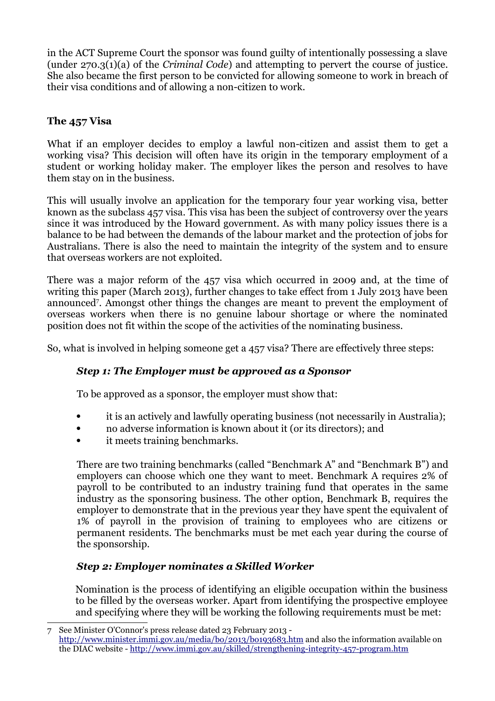in the ACT Supreme Court the sponsor was found guilty of intentionally possessing a slave (under 270.3(1)(a) of the *Criminal Code*) and attempting to pervert the course of justice. She also became the first person to be convicted for allowing someone to work in breach of their visa conditions and of allowing a non-citizen to work.

# **The 457 Visa**

What if an employer decides to employ a lawful non-citizen and assist them to get a working visa? This decision will often have its origin in the temporary employment of a student or working holiday maker. The employer likes the person and resolves to have them stay on in the business.

This will usually involve an application for the temporary four year working visa, better known as the subclass 457 visa. This visa has been the subject of controversy over the years since it was introduced by the Howard government. As with many policy issues there is a balance to be had between the demands of the labour market and the protection of jobs for Australians. There is also the need to maintain the integrity of the system and to ensure that overseas workers are not exploited.

There was a major reform of the 457 visa which occurred in 2009 and, at the time of writing this paper (March 2013), further changes to take effect from 1 July 2013 have been announced[7](#page-4-0) . Amongst other things the changes are meant to prevent the employment of overseas workers when there is no genuine labour shortage or where the nominated position does not fit within the scope of the activities of the nominating business.

So, what is involved in helping someone get a 457 visa? There are effectively three steps:

# *Step 1: The Employer must be approved as a Sponsor*

To be approved as a sponsor, the employer must show that:

- it is an actively and lawfully operating business (not necessarily in Australia);
- no adverse information is known about it (or its directors); and
- it meets training benchmarks.

There are two training benchmarks (called "Benchmark A" and "Benchmark B") and employers can choose which one they want to meet. Benchmark A requires 2% of payroll to be contributed to an industry training fund that operates in the same industry as the sponsoring business. The other option, Benchmark B, requires the employer to demonstrate that in the previous year they have spent the equivalent of 1% of payroll in the provision of training to employees who are citizens or permanent residents. The benchmarks must be met each year during the course of the sponsorship.

# *Step 2: Employer nominates a Skilled Worker*

Nomination is the process of identifying an eligible occupation within the business to be filled by the overseas worker. Apart from identifying the prospective employee and specifying where they will be working the following requirements must be met:

<span id="page-4-0"></span><sup>7</sup> See Minister O'Connor's press release dated 23 February 2013 <http://www.minister.immi.gov.au/media/bo/2013/bo193683.htm>and also the information available on the DIAC website -<http://www.immi.gov.au/skilled/strengthening-integrity-457-program.htm>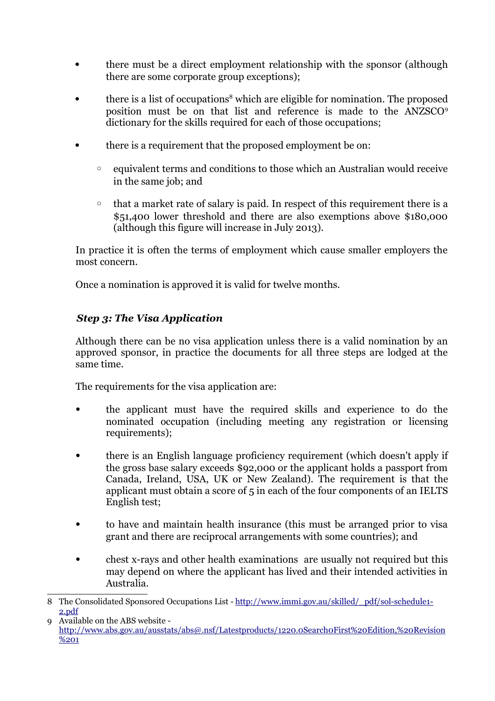- there must be a direct employment relationship with the sponsor (although there are some corporate group exceptions);
- there is a list of occupations<sup>[8](#page-5-0)</sup> which are eligible for nomination. The proposed position must be on that list and reference is made to the ANZSCO<sup>[9](#page-5-1)</sup> dictionary for the skills required for each of those occupations;
- there is a requirement that the proposed employment be on:
	- equivalent terms and conditions to those which an Australian would receive in the same job; and
	- that a market rate of salary is paid. In respect of this requirement there is a \$51,400 lower threshold and there are also exemptions above \$180,000 (although this figure will increase in July 2013).

In practice it is often the terms of employment which cause smaller employers the most concern.

Once a nomination is approved it is valid for twelve months.

# *Step 3: The Visa Application*

Although there can be no visa application unless there is a valid nomination by an approved sponsor, in practice the documents for all three steps are lodged at the same time.

The requirements for the visa application are:

- the applicant must have the required skills and experience to do the nominated occupation (including meeting any registration or licensing requirements);
- there is an English language proficiency requirement (which doesn't apply if the gross base salary exceeds \$92,000 or the applicant holds a passport from Canada, Ireland, USA, UK or New Zealand). The requirement is that the applicant must obtain a score of 5 in each of the four components of an IELTS English test;
- to have and maintain health insurance (this must be arranged prior to visa grant and there are reciprocal arrangements with some countries); and
- chest x-rays and other health examinations are usually not required but this may depend on where the applicant has lived and their intended activities in Australia.

<span id="page-5-0"></span><sup>8</sup> The Consolidated Sponsored Occupations List - [http://www.immi.gov.au/skilled/\\_pdf/sol-schedule1-](http://www.immi.gov.au/skilled/_pdf/sol-schedule1-2.pdf) [2.pdf](http://www.immi.gov.au/skilled/_pdf/sol-schedule1-2.pdf)

<span id="page-5-1"></span><sup>9</sup> Available on the ABS website [http://www.abs.gov.au/ausstats/abs@.nsf/Latestproducts/1220.0Search0First%20Edition,%20Revision](http://www.abs.gov.au/ausstats/abs@.nsf/Latestproducts/1220.0Search0First%20Edition,%20Revision%201) [%201](http://www.abs.gov.au/ausstats/abs@.nsf/Latestproducts/1220.0Search0First%20Edition,%20Revision%201)